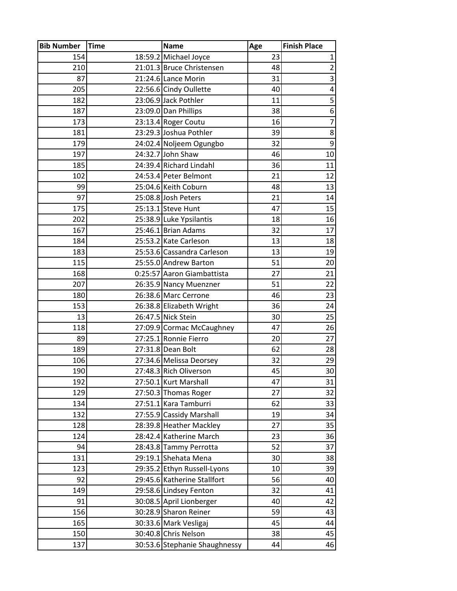| <b>Bib Number</b> | <b>Time</b> | <b>Name</b>                                        | Age      | <b>Finish Place</b> |
|-------------------|-------------|----------------------------------------------------|----------|---------------------|
| 154               |             | 18:59.2 Michael Joyce                              | 23       | $\mathbf{1}$        |
| 210               |             | 21:01.3 Bruce Christensen                          | 48       | $\overline{2}$      |
| 87                |             | 21:24.6 Lance Morin                                | 31       | 3                   |
| 205               |             | 22:56.6 Cindy Oullette                             | 40       | 4                   |
| 182               |             | 23:06.9 Jack Pothler                               | 11       | 5                   |
| 187               |             | 23:09.0 Dan Phillips                               | 38       | 6                   |
| 173               |             | 23:13.4 Roger Coutu                                | 16       | $\overline{7}$      |
| 181               |             | 23:29.3 Joshua Pothler                             | 39       | 8                   |
| 179               |             | 24:02.4 Noljeem Ogungbo                            | 32       | 9                   |
| 197               |             | 24:32.7 John Shaw                                  | 46       | 10                  |
| 185               |             | 24:39.4 Richard Lindahl                            | 36       | 11                  |
| 102               |             | 24:53.4 Peter Belmont                              | 21       | 12                  |
| 99                |             | 25:04.6 Keith Coburn                               | 48       | 13                  |
| 97                |             | 25:08.8 Josh Peters                                | 21       | 14                  |
| 175               |             | 25:13.1 Steve Hunt                                 | 47       | 15                  |
| 202               |             | 25:38.9 Luke Ypsilantis                            | 18       | 16                  |
| 167               |             | 25:46.1 Brian Adams                                | 32       | 17                  |
| 184               |             | 25:53.2 Kate Carleson                              | 13       | 18                  |
| 183               |             | 25:53.6 Cassandra Carleson                         | 13       | 19                  |
| 115               |             | 25:55.0 Andrew Barton                              | 51       | 20                  |
| 168               |             | 0:25:57 Aaron Giambattista                         | 27       | 21                  |
| 207               |             | 26:35.9 Nancy Muenzner                             | 51       | 22                  |
| 180               |             | 26:38.6 Marc Cerrone                               | 46       | 23                  |
| 153               |             | 26:38.8 Elizabeth Wright                           | 36       | 24                  |
| 13<br>118         |             | 26:47.5 Nick Stein                                 | 30<br>47 | 25<br>26            |
| 89                |             | 27:09.9 Cormac McCaughney<br>27:25.1 Ronnie Fierro | 20       | 27                  |
| 189               |             | 27:31.8 Dean Bolt                                  | 62       | 28                  |
| 106               |             | 27:34.6 Melissa Deorsey                            | 32       | 29                  |
| 190               |             | 27:48.3 Rich Oliverson                             | 45       | 30                  |
| 192               |             | 27:50.1 Kurt Marshall                              | 47       | 31                  |
| 129               |             | 27:50.3 Thomas Roger                               | 27       | 32                  |
| 134               |             | 27:51.1 Kara Tamburri                              | 62       | 33                  |
| 132               |             | 27:55.9 Cassidy Marshall                           | 19       | 34                  |
| 128               |             | 28:39.8 Heather Mackley                            | 27       | 35                  |
| 124               |             | 28:42.4 Katherine March                            | 23       | 36                  |
| 94                |             | 28:43.8 Tammy Perrotta                             | 52       | 37                  |
| 131               |             | 29:19.1 Shehata Mena                               | 30       | 38                  |
| 123               |             | 29:35.2 Ethyn Russell-Lyons                        | 10       | 39                  |
| 92                |             | 29:45.6 Katherine Stallfort                        | 56       | 40                  |
| 149               |             | 29:58.6 Lindsey Fenton                             | 32       | 41                  |
| 91                |             | 30:08.5 April Lionberger                           | 40       | 42                  |
| 156               |             | 30:28.9 Sharon Reiner                              | 59       | 43                  |
| 165               |             | 30:33.6 Mark Vesligaj                              | 45       | 44                  |
| 150               |             | 30:40.8 Chris Nelson                               | 38       | 45                  |
| 137               |             | 30:53.6 Stephanie Shaughnessy                      | 44       | 46                  |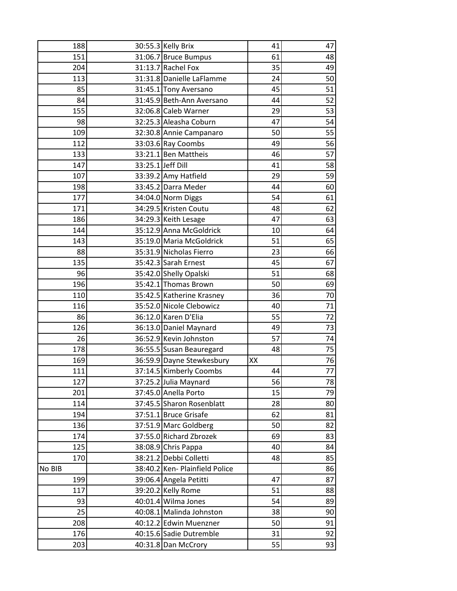| 188    |                   | 30:55.3 Kelly Brix             | 41 | 47 |
|--------|-------------------|--------------------------------|----|----|
| 151    |                   | 31:06.7 Bruce Bumpus           | 61 | 48 |
| 204    |                   | 31:13.7 Rachel Fox             | 35 | 49 |
| 113    |                   | 31:31.8 Danielle LaFlamme      | 24 | 50 |
| 85     |                   | 31:45.1 Tony Aversano          | 45 | 51 |
| 84     |                   | 31:45.9 Beth-Ann Aversano      | 44 | 52 |
| 155    |                   | 32:06.8 Caleb Warner           | 29 | 53 |
| 98     |                   | 32:25.3 Aleasha Coburn         | 47 | 54 |
| 109    |                   | 32:30.8 Annie Campanaro        | 50 | 55 |
| 112    |                   | 33:03.6 Ray Coombs             | 49 | 56 |
| 133    |                   | 33:21.1 Ben Mattheis           | 46 | 57 |
| 147    | 33:25.1 Jeff Dill |                                | 41 | 58 |
| 107    |                   | 33:39.2 Amy Hatfield           | 29 | 59 |
| 198    |                   | 33:45.2 Darra Meder            | 44 | 60 |
| 177    |                   | 34:04.0 Norm Diggs             | 54 | 61 |
| 171    |                   | 34:29.5 Kristen Coutu          | 48 | 62 |
| 186    |                   | 34:29.3 Keith Lesage           | 47 | 63 |
| 144    |                   | 35:12.9 Anna McGoldrick        | 10 | 64 |
| 143    |                   | 35:19.0 Maria McGoldrick       | 51 | 65 |
| 88     |                   | 35:31.9 Nicholas Fierro        | 23 | 66 |
| 135    |                   | 35:42.3 Sarah Ernest           | 45 | 67 |
| 96     |                   | 35:42.0 Shelly Opalski         | 51 | 68 |
| 196    |                   | 35:42.1 Thomas Brown           | 50 | 69 |
| 110    |                   | 35:42.5 Katherine Krasney      | 36 | 70 |
| 116    |                   | 35:52.0 Nicole Clebowicz       | 40 | 71 |
| 86     |                   | 36:12.0 Karen D'Elia           | 55 | 72 |
| 126    |                   | 36:13.0 Daniel Maynard         | 49 | 73 |
| 26     |                   | 36:52.9 Kevin Johnston         | 57 | 74 |
| 178    |                   | 36:55.5 Susan Beauregard       | 48 | 75 |
| 169    |                   | 36:59.9 Dayne Stewkesbury      | XX | 76 |
| 111    |                   | 37:14.5 Kimberly Coombs        | 44 | 77 |
| 127    |                   | 37:25.2 Julia Maynard          | 56 | 78 |
| 201    |                   | 37:45.0 Anella Porto           | 15 | 79 |
| 114    |                   | 37:45.5 Sharon Rosenblatt      | 28 | 80 |
| 194    |                   | 37:51.1 Bruce Grisafe          | 62 | 81 |
| 136    |                   | 37:51.9 Marc Goldberg          | 50 | 82 |
| 174    |                   | 37:55.0 Richard Zbrozek        | 69 | 83 |
| 125    |                   | 38:08.9 Chris Pappa            | 40 | 84 |
| 170    |                   | 38:21.2 Debbi Colletti         | 48 | 85 |
| No BIB |                   | 38:40.2 Ken- Plainfield Police |    | 86 |
| 199    |                   | 39:06.4 Angela Petitti         | 47 | 87 |
| 117    |                   | 39:20.2 Kelly Rome             | 51 | 88 |
| 93     |                   | 40:01.4 Wilma Jones            | 54 | 89 |
| 25     |                   | 40:08.1 Malinda Johnston       | 38 | 90 |
| 208    |                   | 40:12.2 Edwin Muenzner         | 50 | 91 |
| 176    |                   | 40:15.6 Sadie Dutremble        | 31 | 92 |
| 203    |                   | 40:31.8 Dan McCrory            | 55 | 93 |